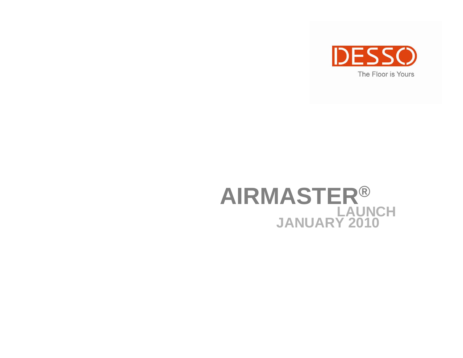

#### **AIRMASTER ® LAUNCH JANUARY 2010**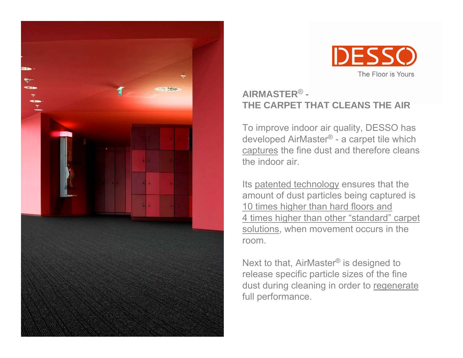



#### **AIRMASTER**® **-THE CARPET THAT CLEANS THE AIR**

To improve indoor air quality, DESSO has developed AirMaster® - a carpet tile which captures the fine dust and therefore cleans the indoor air.

Its patented technology ensures that the amount of dust particles being captured is 10 times higher than hard floors and 4 times higher than other "standard" carpet solutions, when movement occurs in the room.

Next to that, AirMaster® is designed to release specific particle sizes of the fine dust during cleaning in order to regenerate full performance.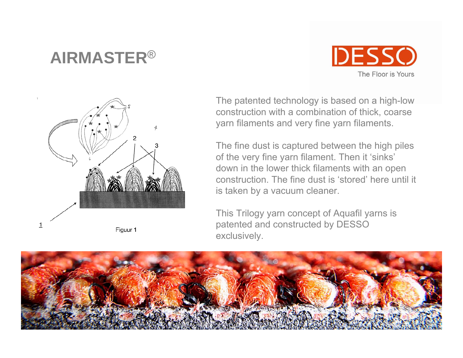#### **AIRMASTER**®





The patented technology is based on a high-low construction with a combination of thick, coarse yarn filaments and very fine yarn filaments.

The fine dust is captured between the high piles of the very fine yarn filament. Then it 'sinks' down in the lower thick filaments with an open construction. The fine dust is 'stored' here until it is taken by a vacuum cleaner.

This Trilogy yarn concept of Aquafil yarns is patented and constructed by DESSO exclusively.

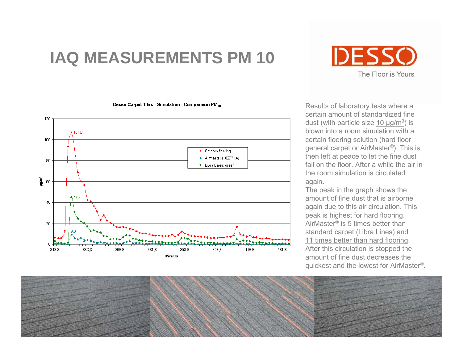## **IAQ MEASUREMENTS PM 10**

Desso Carpet Tiles - Simulation - Comparison PM<sub>10</sub>





Results of laboratory tests where a certain amount of standardized fine dust (with particle size 10  $\mu$ g/m<sup>3</sup>) is blown into a room simulation with a certain flooring solution (hard floor, general carpet or AirMaster®). This is then left at peace to let the fine dust fall on the floor. After a while the air in the room simulation is circulated again.

The peak in the graph shows the amount of fine dust that is airborne again due to this air circulation. This peak is highest for hard flooring. AirMaster® is 5 times better than standard carpet (Libra Lines) and 11 times better than hard flooring. After this circulation is stopped the amount of fine dust decreases the quickest and the lowest for AirMaster®.

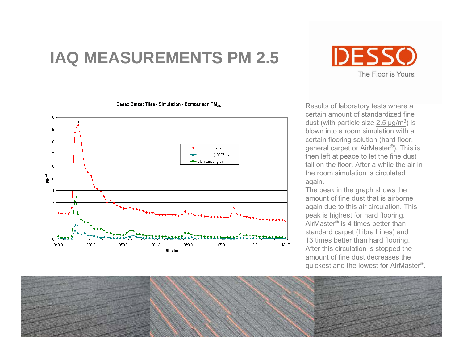## **IAQ MEASUREMENTS PM 2.5**

#### Desso Carpet Tiles - Simulation - Comparison PM<sub>25</sub>



**IDESSO** The Floor is Yours

Results of laboratory tests where a certain amount of standardized fine dust (with particle size  $2.5 \mu g/m^3$ ) is blown into a room simulation with a certain flooring solution (hard floor, general carpet or AirMaster®). This is then left at peace to let the fine dust fall on the floor. After a while the air in the room simulation is circulated again.

The peak in the graph shows the amount of fine dust that is airborne again due to this air circulation. This peak is highest for hard flooring. AirMaster® is 4 times better than standard carpet (Libra Lines) and 13 times better than hard flooring. After this circulation is stopped the amount of fine dust decreases the quickest and the lowest for AirMaster®.

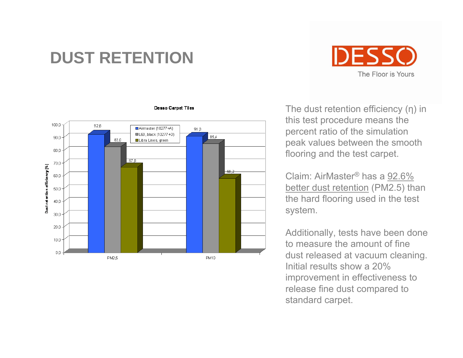## **DUST RETENTION**





#### **Desso Carpet Tiles**

The dust retention efficiency ( η) in this test procedure means the percent ratio of the simulation peak values between the smooth flooring and the test carpet.

Claim: AirMaster® has a 92.6% better dust retention (PM2.5) than the hard flooring used in the test system.

Additionally, tests have been done to measure the amount of fine dust released at vacuum cleaning. Initial results show a 20% improvement in effectiveness to release fine dust compared to standard carpet.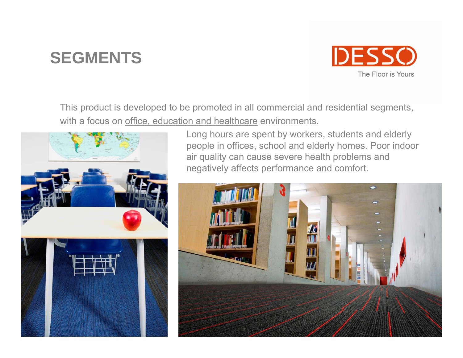#### **SEGMENTS**



This product is developed to be promoted in all commercial and residential segments, with a focus on office, education and healthcare environments.



Long hours are spent by workers, students and elderly people in offices, school and elderly homes. Poor indoor air quality can cause severe health problems and negatively affects performance and comfort.

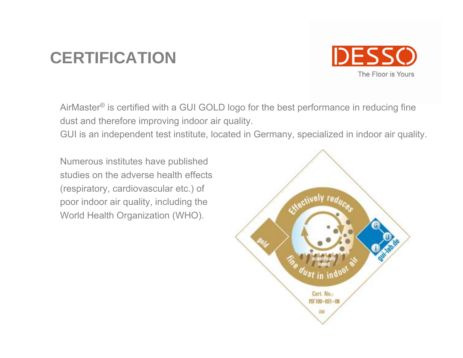# **CERTIFICATION**



AirMaster® is certified with a GUI GOLD logo for the best performance in reducing fine dust and therefore improving indoor air quality.

GUI is an independent test institute, located in Germany, specialized in indoor air quality.

Numerous institutes have published studies on the adverse health effects (respiratory, cardiovascular etc.) of poor indoor air quality, including the World Health Organization (WHO).